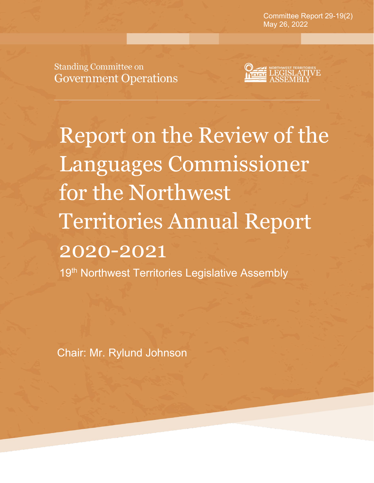**Committee Report 37-18(3)** May 26, 2022Committee Report 29-19(2)

**August 22, 2019**

**Standing Committee on Government Operations** 



Report on the Review of the Languages Commissioner for the Northwest Territories Annual Report 2020-2021

19<sup>th</sup> Northwest Territories Legislative Assembly

Chair: Mr. Rylund Johnson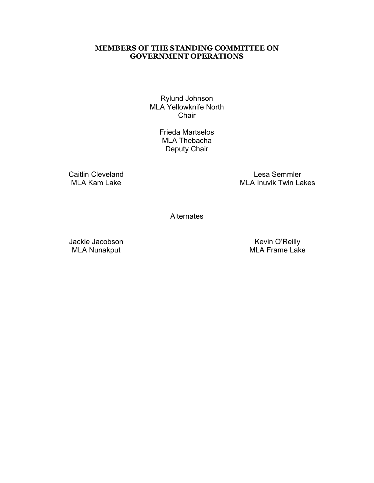#### **MEMBERS OF THE STANDING COMMITTEE ON GOVERNMENT OPERATIONS**

Rylund Johnson MLA Yellowknife North **Chair** 

> Frieda Martselos MLA Thebacha Deputy Chair

Caitlin Cleveland MLA Kam Lake

Lesa Semmler MLA Inuvik Twin Lakes

**Alternates** 

Jackie Jacobson MLA Nunakput

Kevin O'Reilly MLA Frame Lake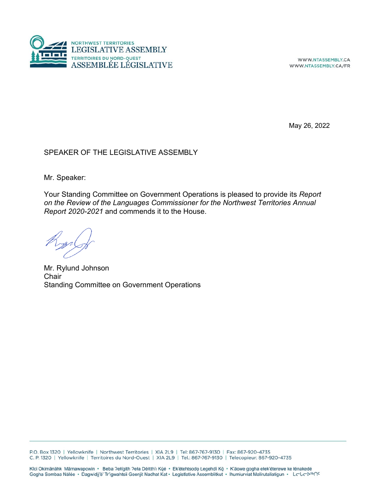

WWW.NTASSEMBLY.CA WWW.NTASSEMBLY.CA/FR

May 26, 2022

#### SPEAKER OF THE LEGISLATIVE ASSEMBLY

Mr. Speaker:

Your Standing Committee on Government Operations is pleased to provide its *Report on the Review of the Languages Commissioner for the Northwest Territories Annual Report 2020-2021* and commends it to the House.

Mr. Rylund Johnson **Chair** Standing Committee on Government Operations

P.O. Box 1320 | Yellowknife | Northwest Territories | XIA 2L9 | Tel: 867-767-9130 | Fax: 867-920-4735 C. P. 1320 | Yellowknife | Territoires du Nord-Ouest | XIA 2L9 | Tel.: 867-767-9130 | Telecopieur: 867-920-4735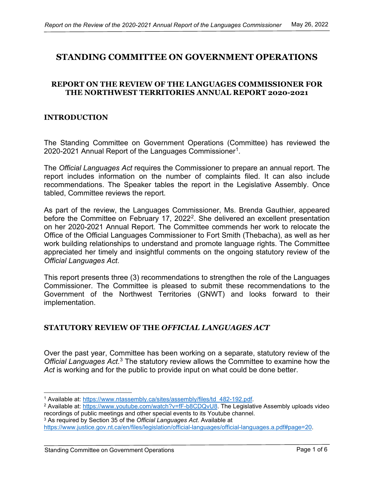# **STANDING COMMITTEE ON GOVERNMENT OPERATIONS**

#### **REPORT ON THE REVIEW OF THE LANGUAGES COMMISSIONER FOR THE NORTHWEST TERRITORIES ANNUAL REPORT 2020-2021**

#### **INTRODUCTION**

The Standing Committee on Government Operations (Committee) has reviewed the 2020-2021 Annual Report of the Languages Commissioner<sup>1</sup>.

The *Official Languages Act* requires the Commissioner to prepare an annual report. The report includes information on the number of complaints filed. It can also include recommendations. The Speaker tables the report in the Legislative Assembly. Once tabled, Committee reviews the report.

As part of the review, the Languages Commissioner, Ms. Brenda Gauthier, appeared before the Committee on February 17, [2](#page-3-1)022<sup>2</sup>. She delivered an excellent presentation on her 2020-2021 Annual Report. The Committee commends her work to relocate the Office of the Official Languages Commissioner to Fort Smith (Thebacha), as well as her work building relationships to understand and promote language rights. The Committee appreciated her timely and insightful comments on the ongoing statutory review of the *Official Languages Act*.

This report presents three (3) recommendations to strengthen the role of the Languages Commissioner. The Committee is pleased to submit these recommendations to the Government of the Northwest Territories (GNWT) and looks forward to their implementation.

#### **STATUTORY REVIEW OF THE** *OFFICIAL LANGUAGES ACT*

Over the past year, Committee has been working on a separate, statutory review of the *Official Languages Act*. [3](#page-3-2) The statutory review allows the Committee to examine how the Act is working and for the public to provide input on what could be done better.

<span id="page-3-1"></span><span id="page-3-0"></span><sup>&</sup>lt;sup>1</sup> Available at: [https://www.ntassembly.ca/sites/assembly/files/td\\_482-192.pdf.](https://www.ntassembly.ca/sites/assembly/files/td_482-192.pdf)<br><sup>2</sup> Available at: [https://www.youtube.com/watch?v=fF-b8CDQvU8.](https://www.youtube.com/watch?v=fF-b8CDQvU8) The Legislative Assembly uploads video

recordings of public meetings and other special events to its Youtube channel.

<span id="page-3-2"></span><sup>3</sup> As required by Section 35 of the *Official Languages Act*. Available at [https://www.justice.gov.nt.ca/en/files/legislation/official-languages/official-languages.a.pdf#page=20.](https://www.justice.gov.nt.ca/en/files/legislation/official-languages/official-languages.a.pdf#page=20)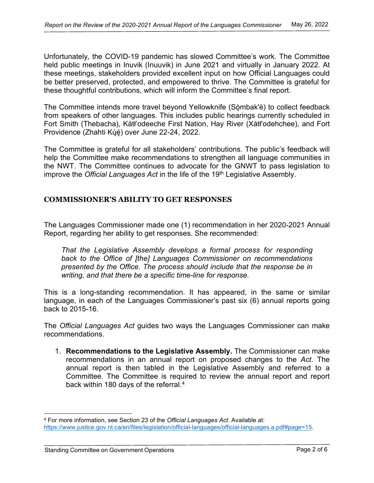Unfortunately, the COVID-19 pandemic has slowed Committee's work. The Committee held public meetings in Inuvik (Inuuvik) in June 2021 and virtually in January 2022. At these meetings, stakeholders provided excellent input on how Official Languages could be better preserved, protected, and empowered to thrive. The Committee is grateful for these thoughtful contributions, which will inform the Committee's final report.

The Committee intends more travel beyond Yellowknife (Sǫ̀mbak'è) to collect feedback from speakers of other languages. This includes public hearings currently scheduled in Fort Smith (Thebacha), Kátł'odeeche First Nation, Hay River (Xátł'odehchee), and Fort Providence (Zhahti Kų́ ę́ ) over June 22-24, 2022.

The Committee is grateful for all stakeholders' contributions. The public's feedback will help the Committee make recommendations to strengthen all language communities in the NWT. The Committee continues to advocate for the GNWT to pass legislation to improve the *Official Languages Act* in the life of the 19<sup>th</sup> Legislative Assembly.

### **COMMISSIONER'S ABILITY TO GET RESPONSES**

The Languages Commissioner made one (1) recommendation in her 2020-2021 Annual Report, regarding her ability to get responses. She recommended:

*That the Legislative Assembly develops a formal process for responding back to the Office of [the] Languages Commissioner on recommendations presented by the Office. The process should include that the response be in writing, and that there be a specific time-line for response.*

This is a long-standing recommendation. It has appeared, in the same or similar language, in each of the Languages Commissioner's past six (6) annual reports going back to 2015-16.

The *Official Languages Act* guides two ways the Languages Commissioner can make recommendations.

1. **Recommendations to the Legislative Assembly.** The Commissioner can make recommendations in an annual report on proposed changes to the *Act*. The annual report is then tabled in the Legislative Assembly and referred to a Committee. The Committee is required to review the annual report and report back within 180 days of the referral.[4](#page-4-0)

<span id="page-4-0"></span><sup>4</sup> For more information, see Section 23 of the *Official Languages Act*. Available at: [https://www.justice.gov.nt.ca/en/files/legislation/official-languages/official-languages.a.pdf#page=15.](https://www.justice.gov.nt.ca/en/files/legislation/official-languages/official-languages.a.pdf#page=15)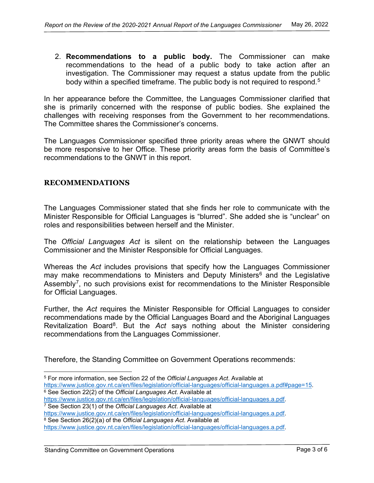2. **Recommendations to a public body.** The Commissioner can make recommendations to the head of a public body to take action after an investigation. The Commissioner may request a status update from the public body within a specified timeframe. The public body is not required to respond.<sup>[5](#page-5-0)</sup>

In her appearance before the Committee, the Languages Commissioner clarified that she is primarily concerned with the response of public bodies. She explained the challenges with receiving responses from the Government to her recommendations. The Committee shares the Commissioner's concerns.

The Languages Commissioner specified three priority areas where the GNWT should be more responsive to her Office. These priority areas form the basis of Committee's recommendations to the GNWT in this report.

## **RECOMMENDATIONS**

The Languages Commissioner stated that she finds her role to communicate with the Minister Responsible for Official Languages is "blurred". She added she is "unclear" on roles and responsibilities between herself and the Minister.

The *Official Languages Act* is silent on the relationship between the Languages Commissioner and the Minister Responsible for Official Languages.

Whereas the *Act* includes provisions that specify how the Languages Commissioner may make recommendations to Ministers and Deputy Ministers<sup>[6](#page-5-1)</sup> and the Legislative Assembly<sup>[7](#page-5-2)</sup>, no such provisions exist for recommendations to the Minister Responsible for Official Languages.

Further, the *Act* requires the Minister Responsible for Official Languages to consider recommendations made by the Official Languages Board and the Aboriginal Languages Revitalization Board<sup>[8](#page-5-3)</sup>. But the *Act* says nothing about the Minister considering recommendations from the Languages Commissioner.

Therefore, the Standing Committee on Government Operations recommends:

<span id="page-5-0"></span><sup>5</sup> For more information, see Section 22 of the *Official Languages Act*. Available at [https://www.justice.gov.nt.ca/en/files/legislation/official-languages/official-languages.a.pdf#page=15.](https://www.justice.gov.nt.ca/en/files/legislation/official-languages/official-languages.a.pdf#page=15) 6 See Section 22(2) of the *Official Languages Act*. Available at

<span id="page-5-1"></span>

[https://www.justice.gov.nt.ca/en/files/legislation/official-languages/official-languages.a.pdf.](https://www.justice.gov.nt.ca/en/files/legislation/official-languages/official-languages.a.pdf) 7 See Section 23(1) of the *Official Languages Act*. Available at

<span id="page-5-2"></span>

[https://www.justice.gov.nt.ca/en/files/legislation/official-languages/official-languages.a.pdf.](https://www.justice.gov.nt.ca/en/files/legislation/official-languages/official-languages.a.pdf) 8 See Section 26(2)(a) of the *Official Languages Act*. Available at

<span id="page-5-3"></span>[https://www.justice.gov.nt.ca/en/files/legislation/official-languages/official-languages.a.pdf.](https://www.justice.gov.nt.ca/en/files/legislation/official-languages/official-languages.a.pdf)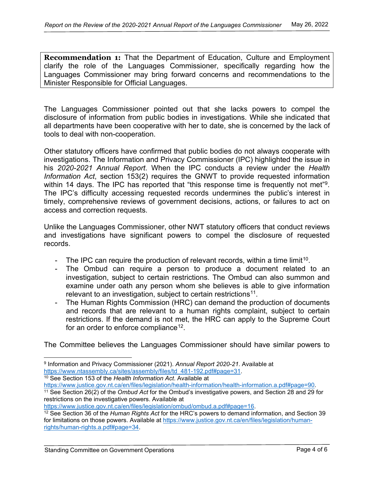**Recommendation 1:** That the Department of Education, Culture and Employment clarify the role of the Languages Commissioner, specifically regarding how the Languages Commissioner may bring forward concerns and recommendations to the Minister Responsible for Official Languages.

The Languages Commissioner pointed out that she lacks powers to compel the disclosure of information from public bodies in investigations. While she indicated that all departments have been cooperative with her to date, she is concerned by the lack of tools to deal with non-cooperation.

Other statutory officers have confirmed that public bodies do not always cooperate with investigations. The Information and Privacy Commissioner (IPC) highlighted the issue in his *2020-2021 Annual Report*. When the IPC conducts a review under the *Health Information Act*, section 153(2) requires the GNWT to provide requested information within 14 days. The IPC has reported that "this response time is frequently not met"<sup>9</sup>. The IPC's difficulty accessing requested records undermines the public's interest in timely, comprehensive reviews of government decisions, actions, or failures to act on access and correction requests.

Unlike the Languages Commissioner, other NWT statutory officers that conduct reviews and investigations have significant powers to compel the disclosure of requested records.

- The IPC can require the production of relevant records, within a time limit<sup>10</sup>.
- The Ombud can require a person to produce a document related to an investigation, subject to certain restrictions. The Ombud can also summon and examine under oath any person whom she believes is able to give information relevant to an investigation, subject to certain restrictions<sup>11</sup>.
- The Human Rights Commission (HRC) can demand the production of documents and records that are relevant to a human rights complaint, subject to certain restrictions. If the demand is not met, the HRC can apply to the Supreme Court for an order to enforce compliance<sup>[12](#page-6-3)</sup>.

The Committee believes the Languages Commissioner should have similar powers to

<span id="page-6-1"></span>[https://www.justice.gov.nt.ca/en/files/legislation/health-information/health-information.a.pdf#page=90.](https://www.justice.gov.nt.ca/en/files/legislation/health-information/health-information.a.pdf#page=90) 11 See Section 26(2) of the *Ombud Act* for the Ombud's investigative powers, and Section 28 and 29 for

<span id="page-6-0"></span><sup>9</sup> Information and Privacy Commissioner (2021). *Annual Report 2020-21*. Available at [https://www.ntassembly.ca/sites/assembly/files/td\\_481-192.pdf#page=31.](https://www.ntassembly.ca/sites/assembly/files/td_481-192.pdf#page=31) 10 See Section 153 of the *Health Information Act*. Available at

<span id="page-6-2"></span>restrictions on the investigative powers. Available at https://www.justice.gov.nt.ca/en/files/legislation/ombud/ombud.a.pdf#page=16.

<span id="page-6-3"></span><sup>&</sup>lt;sup>12</sup> See Section 36 of the *Human Rights Act* for the HRC's powers to demand information, and Section 39 for limitations on those powers. Available at [https://www.justice.gov.nt.ca/en/files/legislation/human](https://www.justice.gov.nt.ca/en/files/legislation/human-rights/human-rights.a.pdf#page=34)[rights/human-rights.a.pdf#page=34.](https://www.justice.gov.nt.ca/en/files/legislation/human-rights/human-rights.a.pdf#page=34)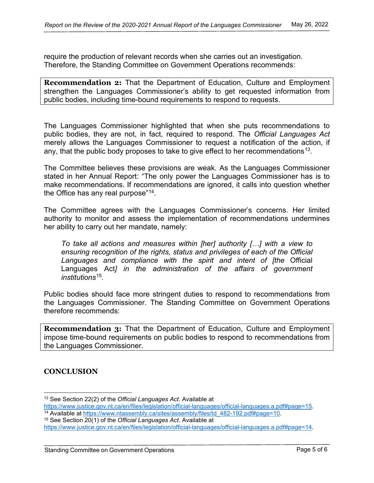require the production of relevant records when she carries out an investigation. Therefore, the Standing Committee on Government Operations recommends:

**Recommendation 2:** That the Department of Education, Culture and Employment strengthen the Languages Commissioner's ability to get requested information from public bodies, including time-bound requirements to respond to requests.

The Languages Commissioner highlighted that when she puts recommendations to public bodies, they are not, in fact, required to respond. The *Official Languages Act*  merely allows the Languages Commissioner to request a notification of the action, if any, that the public body proposes to take to give effect to her recommendations<sup>13</sup>.

The Committee believes these provisions are weak. As the Languages Commissioner stated in her Annual Report: "The only power the Languages Commissioner has is to make recommendations. If recommendations are ignored, it calls into question whether the Office has any real purpose"[14](#page-7-1).

The Committee agrees with the Languages Commissioner's concerns. Her limited authority to monitor and assess the implementation of recommendations undermines her ability to carry out her mandate, namely:

*To take all actions and measures within [her] authority […] with a view to ensuring recognition of the rights, status and privileges of each of the Official Languages and compliance with the spirit and intent of [the* Official Languages Act*l* in the administration of the affairs of government *institutions*[15](#page-7-2)*.*

Public bodies should face more stringent duties to respond to recommendations from the Languages Commissioner. The Standing Committee on Government Operations therefore recommends:

**Recommendation 3:** That the Department of Education, Culture and Employment impose time-bound requirements on public bodies to respond to recommendations from the Languages Commissioner.

## **CONCLUSION**

<span id="page-7-0"></span><sup>13</sup> See Section 22(2) of the *Official Languages Act*. Available at

<span id="page-7-1"></span><sup>&</sup>lt;sup>14</sup> Available at <u>https://www.ntassembly.ca/sites/assembly/files/td\_482-192.pdf#page=10</u>.<br><sup>15</sup> See Section 20(1) of the *Official Languages Act.* Available at

<span id="page-7-2"></span>[https://www.justice.gov.nt.ca/en/files/legislation/official-languages/official-languages.a.pdf#page=14.](https://www.justice.gov.nt.ca/en/files/legislation/official-languages/official-languages.a.pdf#page=14)